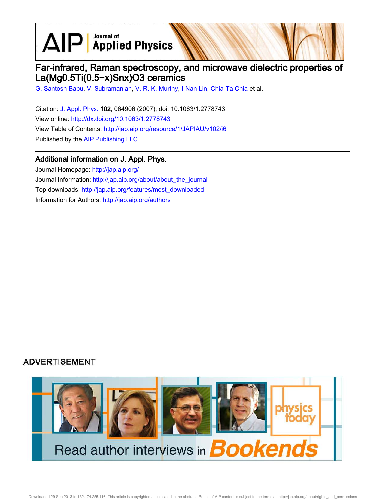$\text{AlP}$  Applied Physics

# Far-infrared, Raman spectroscopy, and microwave dielectric properties of La(Mg0.5Ti(0.5−x)Snx)O3 ceramics

G. Santosh Babu, V. Subramanian, V. R. K. Murthy, I-Nan Lin, Chia-Ta Chia et al.

Citation: J. Appl. Phys. 102, 064906 (2007); doi: 10.1063/1.2778743 View online: http://dx.doi.org/10.1063/1.2778743 View Table of Contents: http://jap.aip.org/resource/1/JAPIAU/v102/i6 Published by the AIP Publishing LLC.

### Additional information on J. Appl. Phys.

Journal Homepage: http://jap.aip.org/ Journal Information: http://jap.aip.org/about/about\_the\_journal Top downloads: http://jap.aip.org/features/most\_downloaded Information for Authors: http://jap.aip.org/authors

## **ADVERTISEMENT**

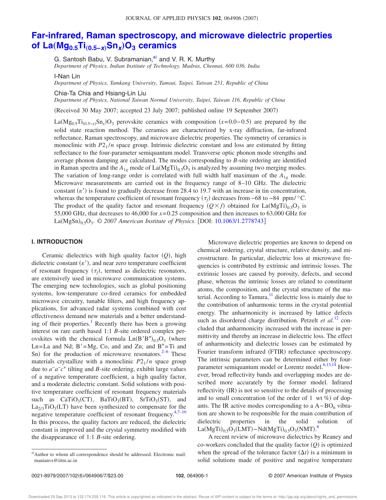# **Far-infrared, Raman spectroscopy, and microwave dielectric properties of La**"**Mg0.5Ti**"**0.5−x**…**Sn<sup>x</sup>** …**O<sup>3</sup> ceramics**

G. Santosh Babu, V. Subramanian,<sup>a)</sup> and V. R. K. Murthy

*Department of Physics, Indian Institute of Technology, Madras, Chennai, 600 036, India*

I-Nan Lin

*Department of Physics, Tamkang University, Tamsui, Taipei, Taiwan 251, Republic of China*

Chia-Ta Chia and Hsiang-Lin Liu

*Department of Physics, National Taiwan Normal University, Taipei, Taiwan 116, Republic of China*

Received 30 May 2007; accepted 23 July 2007; published online 19 September 2007-

La(Mg<sub>0.5</sub>Ti<sub>(0.5-*x*)</sub>Sn<sub>*x*</sub>)O<sub>3</sub> perovskite ceramics with composition (*x*=0.0−0.5) are prepared by the solid state reaction method. The ceramics are characterized by x-ray diffraction, far-infrared reflectance, Raman spectroscopy, and microwave dielectric properties. The symmetry of ceramics is monoclinic with  $P2_1/n$  space group. Intrinsic dielectric constant and loss are estimated by fitting reflectance to the four-parameter semiquantum model. Transverse optic phonon mode strengths and average phonon damping are calculated. The modes corresponding to *B*-site ordering are identified in Raman spectra and the  $A_{1g}$  mode of  $La(MgTi)_{0.5}O_3$  is analyzed by assuming two merging modes. The variation of long-range order is correlated with full width half maximum of the  $A_{1g}$  mode. Microwave measurements are carried out in the frequency range of 8–10 GHz. The dielectric constant  $(\varepsilon')$  is found to gradually decrease from 28.4 to 19.7 with an increase in tin concentration, whereas the temperature coefficient of resonant frequency  $(\tau_f)$  decreases from −68 to −84 ppm/ $\degree$ C. The product of the quality factor and resonant frequency  $(Q \times f)$  obtained for La $(MgTi)_{0.5}O_3$  is 55,000 GHz, that decreases to 46,000 for *x*= 0.25 composition and then increases to 63,000 GHz for La(MgSn)<sub>0.5</sub>O<sub>3</sub>. © 2007 American Institute of Physics. [DOI: 10.1063/1.2778743]

#### **I. INTRODUCTION**

Ceramic dielectrics with high quality factor  $(Q)$ , high dielectric constant  $(\varepsilon')$ , and near zero temperature coefficient of resonant frequency  $(\tau_f)$ , termed as dielectric resonators, are extensively used in microwave communication systems. The emerging new technologies, such as global positioning systems, low-temperature co-fired ceramics for embedded microwave circuitry, tunable filters, and high frequency applications, for advanced radar systems combined with cost effectiveness demand new materials and a better understanding of their properties.<sup>1</sup> Recently there has been a growing interest on rare earth based 1:1 *B*-site ordered complex perovskites with the chemical formula  $Ln(B'B'')_{0.5}O_3$  (where Ln=La and Nd;  $B' = Mg$ , Co, and and Zn; and  $B'' = Ti$  and Sn) for the production of microwave resonators. $2^{-6}$  These materials crystallize with a monoclinic  $P2_1/n$  space group due to  $a^-a^-c^+$  tilting and *B*-site ordering, exhibit large values of a negative temperature coefficient, a high quality factor, and a moderate dielectric constant. Solid solutions with positive temperature coefficient of resonant frequency materials such as  $CaTiO_3(CT)$ ,  $BaTiO_3(BT)$ ,  $SrTiO_3(ST)$ , and  $\text{La}_{2/3}\text{TiO}_3(\text{LT})$  have been synthesized to compensate for the negative temperature coefficient of resonant frequency.<sup>4,7–10</sup> In this process, the quality factors are reduced, the dielectric constant is improved and the crystal symmetry modified with the disappearance of 1:1 *B*-site ordering.

Microwave dielectric properties are known to depend on chemical ordering, crystal structure, relative density, and microstructure. In particular, dielectric loss at microwave frequencies is contributed by extrinsic and intrinsic losses. The extrinsic losses are caused by porosity, defects, and second phase, whereas the intrinsic losses are related to constituent atoms, the composition, and the crystal structure of the material. According to Tamura, $11$  dielectric loss is mainly due to the contribution of anharmonic terms in the crystal potential energy. The anharmonicity is increased by lattice defects such as disordered charge distribution. Petzelt *et al.*<sup>12</sup> concluded that anharmonicity increased with the increase in permittivity and thereby an increase in dielectric loss. The effect of anharmonicity and dielectric losses can be estimated by Fourier transform infrared (FTIR) reflectance spectroscopy. The intrinsic parameters can be determined either by fourparameter semiquantum model or Lorentz model.<sup>6,13,14</sup> However, broad reflectivity bands and overlapping modes are described more accurately by the former model. Infrared reflectivity (IR) is not so sensitive to the details of processing and to small concentration (of the order of 1 wt %) of dopants. The IR active modes corresponding to a  $A-BO<sub>6</sub>$  vibration are shown to be responsible for the main contribution of dielectric properties in the solid solution  $\rm La(MgTi)_{0.5}O_3(LMT)-Nd(MgTi)_{0.5}O_3(NMT).$ <sup>6</sup>

A recent review of microwave dielectrics by Reaney and co-workers concluded that the quality factor  $(Q)$  is optimized when the spread of the tolerance factor  $(\Delta t)$  is a minimum in solid solutions made of positive and negative temperature

a)Author to whom all correspondence should be addressed. Electronic mail: manianvs@iitm.ac.in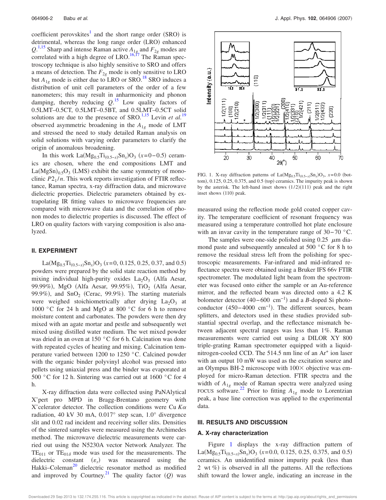coefficient perovskites<sup>1</sup> and the short range order (SRO) is detrimental, whereas the long range order (LRO) enhanced  $Q^{1,15}$  Sharp and intense Raman active  $A_{1g}$  and  $F_{2g}$  modes are correlated with a high degree of LRO.<sup>16,17</sup> The Raman spectroscopy technique is also highly sensitive to SRO and offers a means of detection. The  $F_{2g}$  mode is only sensitive to LRO but  $A_{1g}$  mode is either due to LRO or SRO.<sup>18</sup> SRO induces a distribution of unit cell parameters of the order of a few nanometers; this may result in anharmonicity and phonon damping, thereby reducing *Q*. <sup>15</sup> Low quality factors of 0.5LMT–0.5CT, 0.5LMT–0.5BT, and 0.5LMT–0.5CT solid solutions are due to the presence of SRO.<sup>1,15</sup> Levin *et al.*<sup>19</sup> observed asymmetric broadening in the *A*1*<sup>g</sup>* mode of LMT and stressed the need to study detailed Raman analysis on solid solutions with varying order parameters to clarify the origin of anomalous broadening.

In this work  $La(Mg_{0.5}Ti_{(0.5-x)}Sn_x)O_3$  ( $x=0-0.5$ ) ceramics are chosen, where the end compositions LMT and  $La(MgSn)_{0.5}O_3$  (LMS) exhibit the same symmetry of monoclinic  $P2_1/n$ . This work reports investigation of FTIR reflectance, Raman spectra, x-ray diffraction data, and microwave dielectric properties. Dielectric parameters obtained by extrapolating IR fitting values to microwave frequencies are compared with microwave data and the correlation of phonon modes to dielectric properties is discussed. The effect of LRO on quality factors with varying composition is also analyzed.

#### **II. EXPERIMENT**

La(Mg<sub>0.5</sub>Ti<sub>(0.5-*x*)</sub>Sn<sub>*x*</sub>)O<sub>3</sub> (*x*=0, 0.125, 0.25, 0.37, and 0.5) powders were prepared by the solid state reaction method by mixing individual high-purity oxides  $La_2O_3$  (Alfa Aesar, 99.99%), MgO (Alfa Aesar, 99.95%), TiO<sub>2</sub> (Alfa Aesar, 99.9%), and SnO<sub>2</sub> (Cerac, 99.9%). The starting materials were weighed stoichiometrically after drying  $La_2O_3$  at 1000 °C for 24 h and MgO at 800 °C for 6 h to remove moisture content and carbonates. The powders were then dry mixed with an agate mortar and pestle and subsequently wet mixed using distilled water medium. The wet mixed powder was dried in an oven at 150 °C for 6 h. Calcination was done with repeated cycles of heating and mixing. Calcination temperature varied between 1200 to 1250 °C. Calcined powder with the organic binder polyvinyl alcohol was pressed into pellets using uniaxial press and the binder was evaporated at 500 °C for 12 h. Sintering was carried out at 1600 °C for 4 h.

X-ray diffraction data were collected using PaNAlytical X'pert pro MPD in Bragg-Brentano geometry with X'celerator detector. The collection conditions were Cu *K* radiation, 40 kV 30 mA, 0.017° step scan, 1.0° divergence slit and 0.02 rad incident and receiving soller slits. Densities of the sintered samples were measured using the Archimedes method. The microwave dielectric measurements were carried out using the N5230A vector Network Analyzer. The  $TE_{011}$  or  $TE_{010}$  mode was used for the measurements. The dielectric constant  $(\varepsilon_r)$  was measured using the Hakki–Coleman<sup>20</sup> dielectric resonator method as modified and improved by Courtney.<sup>21</sup> The quality factor  $(Q)$  was



FIG. 1. X-ray diffraction patterns of  $La(Mg_{0.5}Ti_{(0.5-x)}Sn_x)O_3$ ,  $x=0.0$  (bottom), 0.125, 0.25, 0.375, and 0.5 (top) ceramics. The impurity peak is shown by the asterisk. The left-hand inset shows  $(1/2)(111)$  peak and the right inset shows (110) peak.

measured using the reflection mode gold coated copper cavity. The temperature coefficient of resonant frequency was measured using a temperature controlled hot plate enclosure with an invar cavity in the temperature range of 30− 70 °C.

The samples were one-side polished using  $0.25 \mu m$  diamond paste and subsequently annealed at 500 °C for 8 h to remove the residual stress left from the polishing for spectroscopic measurements. Far-infrared and mid-infrared reflectance spectra were obtained using a Bruker IFS 66v FTIR spectrometer. The modulated light beam from the spectrometer was focused onto either the sample or an Au-reference mirror, and the reflected beam was directed onto a 4.2 K bolometer detector (40–600 cm<sup>-1</sup>) and a *B*-doped Si photoconductor  $(450-4000 \text{ cm}^{-1})$ . The different sources, beam splitters, and detectors used in these studies provided substantial spectral overlap, and the reflectance mismatch between adjacent spectral ranges was less than 1*%*. Raman measurements were carried out using a DILOR XY 800 triple-grating Raman spectrometer equipped with a liquidnitrogen-cooled CCD. The 514.5 nm line of an Ar<sup>+</sup> ion laser with an output 10 mW was used as the excitation source and an Olympus BH-2 microscope with  $100 \times$  objective was employed for micro-Raman detection. FTIR spectra and the width of  $A_{1g}$  mode of Raman spectra were analyzed using FOCUS software.<sup>22</sup> Prior to fitting  $A_{1g}$  mode to Lorentzian peak, a base line correction was applied to the experimental data.

#### **III. RESULTS AND DISCUSSION**

#### **A. X-ray characterization**

Figure 1 displays the x-ray diffraction pattern of La( $Mg_{0.5}Ti_{(0.5-x)}Sn_x$ ) $O_3$  ( $x=0.0, 0.125, 0.25, 0.375,$  and 0.5) ceramics. An unidentified minor impurity peak less than 2 wt %) is observed in all the patterns. All the reflections shift toward the lower angle, indicating an increase in the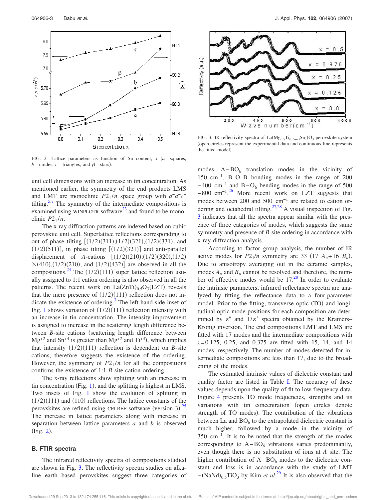

FIG. 2. Lattice parameters as function of Sn content,  $x$   $(a$ —squares,  $b$ —circles,  $c$ —triangles, and  $\beta$ —stars).

unit cell dimensions with an increase in tin concentration. As mentioned earlier, the symmetry of the end products LMS and LMT are monoclinic  $P2_1/n$  space group with  $a^a a^- c^b$ tilting.<sup>5,7</sup> The symmetry of the intermediate compositions is examined using WINPLOTR software $^{23}$  and found to be monoclinic  $P2_1/n$ .

The x-ray diffraction patterns are indexed based on cubic perovskite unit cell. Superlattice reflections corresponding to out of phase tilting  $[(1/2)(311),(1/2)(321),(1/2)(331)$ , and  $(1/2)(511)$ , in phase tilting  $[(1/2)(321)]$  and anti-parallel displacement of *A*-cations  $[(1/2)(210),(1/2)(320),(1/2)]$  $\times$ (410),(1/2)(210), and (1/2)(432)] are observed in all the compositions.<sup>24</sup> The  $(1/2)(111)$  super lattice reflection usually assigned to 1:1 cation ordering is also observed in all the patterns. The recent work on  $La(ZnTi)_{0.5}O_3(LZT)$  reveals that the mere presence of  $(1/2)(111)$  reflection does not indicate the existence of ordering. $3$  The left-hand side inset of Fig. 1 shows variation of  $(1/2)(111)$  reflection intensity with an increase in tin concentration. The intensity improvement is assigned to increase in the scattering length difference between *B*-site cations (scattering length difference between  $Mg^{+2}$  and Sn<sup>+4</sup> is greater than  $Mg^{+2}$  and Ti<sup>+4</sup>), which implies that intensity  $(1/2)(111)$  reflection is dependent on *B*-site cations, therefore suggests the existence of the ordering. However, the symmetry of  $P2_1/n$  for all the compositions confirms the existence of 1:1 *B*-site cation ordering.

The x-ray reflections show splitting with an increase in tin concentration (Fig. 1), and the splitting is highest in LMS. Two insets of Fig. 1 show the evolution of splitting in  $(1/2)(111)$  and  $(110)$  reflections. The lattice constants of the perovskites are refined using CELREF software (version 3).<sup>25</sup> The increase in lattice parameters along with increase in separation between lattice parameters *a* and *b* is observed  $(Fig. 2)$ .

#### **B. FTIR spectra**

The infrared reflectivity spectra of compositions studied are shown in Fig. 3. The reflectivity spectra studies on alkaline earth based perovskites suggest three categories of



FIG. 3. IR reflectivity spectra of  $La(Mg_{0.5}Ti_{(0.5-x)}Sn_x)O_3$  perovskite system open circles represent the experimental data and continuous line represents the fitted model).

modes.  $A - BO_6$  translation modes in the vicinity of 150 cm−1, B–O–B bonding modes in the range of 200  $-400$  cm<sup>-1</sup> and B  $-$  O<sub>6</sub> bending modes in the range of 500  $-800 \text{ cm}^{-1}$ .<sup>26</sup> More recent work on LZT suggests that modes between 200 and 500 cm<sup>-1</sup> are related to cation ordering and octahedral tilting. $27,28$  A visual inspection of Fig. 3 indicates that all the spectra appear similar with the presence of three categories of modes, which suggests the same symmetry and presence of *B*-site ordering in accordance with x-ray diffraction analysis.

According to factor group analysis, the number of IR active modes for  $P2_1/n$  symmetry are 33 (17  $A_u + 16 B_u$ ). Due to anisotropy averaging out in the ceramic samples, modes  $A_u$  and  $B_u$  cannot be resolved and therefore, the number of effective modes would be  $17<sup>28</sup>$  In order to evaluate the intrinsic parameters, infrared reflectance spectra are analyzed by fitting the reflectance data to a four-parameter model. Prior to the fitting, transverse optic (TO) and longitudinal optic mode positions for each composition are determined by  $\varepsilon''$  and  $1/\varepsilon'$  spectra obtained by the Kramers– Kronig inversion. The end compositions LMT and LMS are fitted with 17 modes and the intermediate compositions with *x*= 0.125, 0.25, and 0.375 are fitted with 15, 14, and 14 modes, respectively. The number of modes detected for intermediate compositions are less than 17, due to the broadening of the modes.

The estimated intrinsic values of dielectric constant and quality factor are listed in Table I. The accuracy of these values depends upon the quality of fit to low frequency data. Figure 4 presents TO mode frequencies, strengths and its variations with tin concentration (open circles denote strength of TO modes). The contribution of the vibrations between La and  $BO_6$  to the extrapolated dielectric constant is much higher, followed by a mode in the vicinity of 350 cm−1. It is to be noted that the strength of the modes corresponding to  $A-BO<sub>6</sub>$  vibrations varies predominantly, even though there is no substitution of ions at *A* site. The higher contribution of  $A - BO<sub>6</sub>$  modes to the dielectric constant and loss is in accordance with the study of LMT −(NaNd)<sub>0.5</sub>TiO<sub>3</sub> by Kim *et al*.<sup>29</sup> It is also observed that the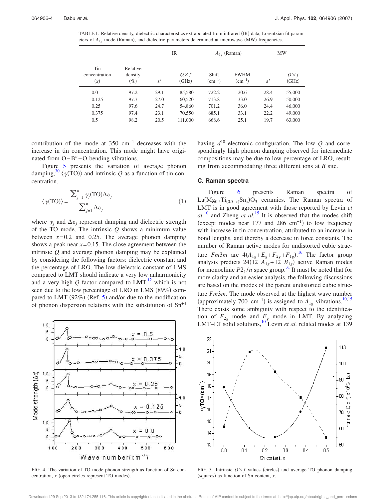TABLE I. Relative density, dielectric characteristics extrapolated from infrared (IR) data, Lorentzian fit parameters of  $A_{1g}$  mode (Raman), and dielectric parameters determined at microwave (MW) frequencies.

| Tin<br>concentration<br>(x) | Relative<br>density<br>$(\%)$ | <b>IR</b>                  |                      | $A_{1g}$ (Raman)     |                            | <b>MW</b>      |                      |
|-----------------------------|-------------------------------|----------------------------|----------------------|----------------------|----------------------------|----------------|----------------------|
|                             |                               | $\varepsilon$ <sup>'</sup> | $Q\times f$<br>(GHz) | Shift<br>$(cm^{-1})$ | <b>FWHM</b><br>$(cm^{-1})$ | $\varepsilon'$ | $Q\times f$<br>(GHz) |
| 0.0                         | 97.2                          | 29.1                       | 85,580               | 722.2                | 20.6                       | 28.4           | 55,000               |
| 0.125                       | 97.7                          | 27.0                       | 60,520               | 713.8                | 33.0                       | 26.9           | 50,000               |
| 0.25                        | 97.6                          | 24.7                       | 54,860               | 701.2                | 36.0                       | 24.4           | 46,000               |
| 0.375                       | 97.4                          | 23.1                       | 70,550               | 685.1                | 33.1                       | 22.2           | 49,000               |
| 0.5                         | 98.2                          | 20.5                       | 111,000              | 668.6                | 25.1                       | 19.7           | 63,000               |

contribution of the mode at 350 cm−1 decreases with the increase in tin concentration. This mode might have originated from O-B"-O bending vibrations.

Figure 5 presents the variation of average phonon damping,<sup>30</sup>  $\langle \gamma(\text{TO}) \rangle$  and intrinsic *Q* as a function of tin concentration.

$$
\langle \gamma(TO) \rangle = \frac{\sum_{j=1}^{n} \gamma_j(TO) \Delta \varepsilon_j}{\sum_{j=1}^{n} \Delta \varepsilon_j},
$$
 (1)

where  $\gamma_j$  and  $\Delta \varepsilon_j$  represent damping and dielectric strength of the TO mode. The intrinsic *Q* shows a minimum value between  $x=0.2$  and 0.25. The average phonon damping shows a peak near  $x=0.15$ . The close agreement between the intrinsic *Q* and average phonon damping may be explained by considering the following factors: dielectric constant and the percentage of LRO. The low dielectric constant of LMS compared to LMT should indicate a very low anharmonicity and a very high  $Q$  factor compared to  $LMT$ ,<sup>12</sup> which is not seen due to the low percentage of LRO in LMS (89%) compared to LMT (92%) (Ref. 5) and/or due to the modification of phonon dispersion relations with the substitution of  $Sn^{+4}$ 



FIG. 4. The variation of TO mode phonon strength as function of Sn concentration,  $x$  (open circles represent TO modes).

having *d* <sup>10</sup> electronic configuration. The low *Q* and correspondingly high phonon damping observed for intermediate compositions may be due to low percentage of LRO, resulting from accommodating three different ions at *B* site.

#### **C. Raman spectra**

Figure 6 presents Raman spectra of La(Mg<sub>0.5</sub>Ti<sub>(0.5−*x*)</sub>Sn<sub>*x*</sub>)O<sub>3</sub> ceramics. The Raman spectra of LMT is in good agreement with those reported by Levin *et*  $al.$ <sup>10</sup> and Zheng *et al.*<sup>15</sup> It is observed that the modes shift (except modes near 177 and 286 cm<sup>-1</sup>) to low frequency with increase in tin concentration, attributed to an increase in bond lengths, and thereby a decrease in force constants. The number of Raman active modes for undistorted cubic structure *Fm*<sup>3</sup>*m* are  $4(A_{1g}+E_{g}+F_{2g}+F_{1g})$ .<sup>16</sup> The factor group analysis predicts 24(12  $A_{1g}$ +12  $B_{1g}$ ) active Raman modes for monoclinic  $P2_1/n$  space group.<sup>31</sup> It must be noted that for more clarity and an easier analysis, the following discussions are based on the modes of the parent undistorted cubic structure  $Fm\overline{3}m$ . The mode observed at the highest wave number (approximately 700 cm<sup>-1</sup>) is assigned to  $A_{1g}$  vibrations.<sup>10,15</sup> There exists some ambiguity with respect to the identification of  $F_{2g}$  mode and  $E_g$  mode in LMT. By analyzing LMT–LT solid solutions,  $10^{8}$  Levin *et al.* related modes at 139



FIG. 5. Intrinsic  $Q \times f$  values (circles) and average TO phonon damping (squares) as function of Sn content, *x*.

Downloaded 29 Sep 2013 to 132.174.255.116. This article is copyrighted as indicated in the abstract. Reuse of AIP content is subject to the terms at: http://jap.aip.org/about/rights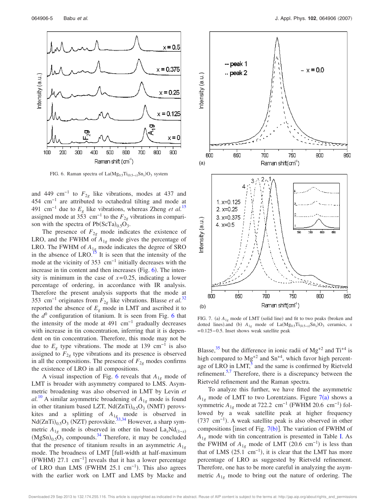

FIG. 6. Raman spectra of  $La(Mg_{0.5}Ti_{(0.5-x)}Sn_x)O_3$  system

and 449 cm<sup>-1</sup> to  $F_{2g}$  like vibrations, modes at 437 and 454 cm−1 are attributed to octahedral tilting and mode at 491 cm<sup>-1</sup> due to  $E<sub>g</sub>$  like vibrations, whereas Zheng *et al.*<sup>15</sup> assigned mode at 353 cm<sup>-1</sup> to the  $F_{2g}$  vibrations in comparison with the spectra of  $Pb(ScTa)_{0.5}O_3$ .

The presence of  $F_{2g}$  mode indicates the existence of LRO, and the FWHM of  $A_{1g}$  mode gives the percentage of LRO. The FWHM of  $A_{1g}$  mode indicates the degree of SRO in the absence of LRO.<sup>15</sup> It is seen that the intensity of the mode at the vicinity of  $353 \text{ cm}^{-1}$  initially decreases with the increase in tin content and then increases (Fig.  $6$ ). The intensity is minimum in the case of  $x=0.25$ , indicating a lower percentage of ordering, in accordance with IR analysis. Therefore the present analysis supports that the mode at 353 cm<sup>-1</sup> originates from  $F_{2g}$  like vibrations. Blasse *et al.*<sup>32</sup> reported the absence of  $E<sub>g</sub>$  mode in LMT and ascribed it to the *d* 0 configuration of titanium. It is seen from Fig. 6 that the intensity of the mode at 491  $cm^{-1}$  gradually decreases with increase in tin concentration, inferring that it is dependent on tin concentration. Therefore, this mode may not be due to  $E_g$  type vibrations. The mode at 139 cm<sup>-1</sup> is also assigned to  $F_{2g}$  type vibrations and its presence is observed in all the compositions. The presence of  $F_{2g}$  modes confirms the existence of LRO in all compositions.

A visual inspection of Fig. 6 reveals that *A*1*<sup>g</sup>* mode of LMT is broader with asymmetry compared to LMS. Asymmetric broadening was also observed in LMT by Levin *et*  $aI^{10}$  A similar asymmetric broadening of  $A_{1g}$  mode is found in other titanium based LZT,  $Nd(ZnTi)_{0.5}O_3$  (NMT) perovskites and a splitting of  $A_{1g}$  mode is observed in  $Nd(ZnTi)_{0.5}O_3$  (NZT) perovskite.<sup>33,34</sup> However, a sharp symmetric  $A_{1g}$  mode is observed in other tin based La<sub>x</sub>Nd<sub>(1-*x*)</sub>  $(MgSn)_{0.5}O_3$  compounds.<sup>34</sup> Therefore, it may be concluded that the presence of titanium results in an asymmetric  $A_{1g}$ mode. The broadness of LMT [full-width at half-maximum  $(FWHM)$  27.1 cm<sup>-1</sup>] reveals that it has a lower percentage of LRO than LMS (FWHM 25.1 cm<sup>-1</sup>). This also agrees with the earlier work on LMT and LMS by Macke and



FIG. 7. (a)  $A_{1g}$  mode of LMT (solid line) and fit to two peaks (broken and dotted lines).and (b)  $A_{1g}$  mode of La(Mg<sub>0.5</sub>Ti<sub>(0.5−*x*)</sub>Sn<sub>*x*</sub>)O<sub>3</sub> ceramics, *x* = 0.125− 0.5. Inset shows weak satellite peak

Blasse,<sup>35</sup> but the difference in ionic radii of  $Mg^{+2}$  and Ti<sup>+4</sup> is high compared to  $Mg^{+2}$  and  $Sn^{+4}$ , which favor high percentage of LRO in LMT, $<sup>5</sup>$  and the same is confirmed by Rietveld</sup> refinement.<sup>5,7</sup> Therefore, there is a discrepancy between the Rietveld refinement and the Raman spectra.

To analyze this further, we have fitted the asymmetric  $A_{1g}$  mode of LMT to two Lorentzians. Figure 7(a) shows a symmetric  $A_{1g}$  mode at 722.2 cm<sup>-1</sup> (FWHM 20.6 cm<sup>-1</sup>) followed by a weak satellite peak at higher frequency (737 cm<sup>-1</sup>). A weak satellite peak is also observed in other compositions [inset of Fig.  $7(b)$ ]. The variation of FWHM of  $A_{1g}$  mode with tin concentration is presented in Table I. As the FWHM of  $A_{1g}$  mode of LMT (20.6 cm<sup>-1</sup>) is less than that of LMS  $(25.1 \text{ cm}^{-1})$ , it is clear that the LMT has more percentage of LRO as suggested by Rietveld refinement. Therefore, one has to be more careful in analyzing the asymmetric  $A_{1g}$  mode to bring out the nature of ordering. The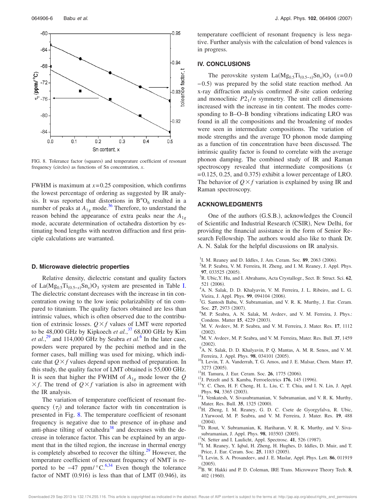

FIG. 8. Tolerance factor (squares) and temperature coefficient of resonant frequency (circles) as functions of Sn concentration, *x*.

FWHM is maximum at *x*= 0.25 composition, which confirms the lowest percentage of ordering as suggested by IR analysis. It was reported that distortions in  $B''O_6$  resulted in a number of peaks at  $A_{1g}$  mode.<sup>36</sup> Therefore, to understand the reason behind the appearance of extra peaks near the  $A_{1g}$ mode, accurate determination of octahedra distortion by estimating bond lengths with neutron diffraction and first principle calculations are warranted.

#### **D. Microwave dielectric properties**

Relative density, dielectric constant and quality factors of La $(Mg_{0.5}Ti_{(0.5-x)}Sn_x)O_3$  system are presented in Table I. The dielectric constant decreases with the increase in tin concentration owing to the low ionic polarizability of tin compared to titanium. The quality factors obtained are less than intrinsic values, which is often observed due to the contribution of extrinsic losses.  $Q \times f$  values of LMT were reported to be 48,000 GHz by Kipkoech *et al.*, <sup>37</sup> 68,000 GHz by Kim *et al.*<sup>29</sup> and 114,000 GHz by Seabra *et al.*<sup>6</sup> In the later case, powders were prepared by the pechini method and in the former cases, ball milling was used for mixing, which indicate that  $Q \times f$  values depend upon method of preparation. In this study, the quality factor of LMT obtained is 55,000 GHz. It is seen that higher the FWHM of *A*1*<sup>g</sup>* mode lower the *Q*  $\times$  *f*. The trend of  $Q \times f$  variation is also in agreement with the IR analysis.

The variation of temperature coefficient of resonant frequency  $(\tau_f)$  and tolerance factor with tin concentration is presented in Fig. 8. The temperature coefficient of resonant frequency is negative due to the presence of in-phase and anti-phase tilting of octahedra $38$  and decreases with the decrease in tolerance factor. This can be explained by an argument that in the tilted region, the increase in thermal energy is completely absorbed to recover the tilting.<sup>29</sup> However, the temperature coefficient of resonant frequency of NMT is reported to be  $-47$  ppm/ $\degree$ C.<sup>6,34</sup> Even though the tolerance</sup> factor of NMT  $(0.916)$  is less than that of LMT  $(0.946)$ , its

temperature coefficient of resonant frequency is less negative. Further analysis with the calculation of bond valences is in progress.

#### **IV. CONCLUSIONS**

The perovskite system  $La(Mg_{0.5}Ti_{(0.5-x)}Sn_x)O_3$  (*x*=0.0 −0.5) was prepared by the solid state reaction method. An x-ray diffraction analysis confirmed *B*-site cation ordering and monoclinic  $P2_1/n$  symmetry. The unit cell dimensions increased with the increase in tin content. The modes corresponding to B–O–B bonding vibrations indicating LRO was found in all the compositions and the broadening of modes were seen in intermediate compositions. The variation of mode strengths and the average TO phonon mode damping as a function of tin concentration have been discussed. The intrinsic quality factor is found to correlate with the average phonon damping. The combined study of IR and Raman spectroscopy revealed that intermediate compositions  $(x + y)$  $= 0.125, 0.25,$  and  $0.375$ ) exhibit a lower percentage of LRO. The behavior of  $Q \times f$  variation is explained by using IR and Raman spectroscopy.

#### **ACKNOWLEDGMENTS**

One of the authors (G.S.B.), acknowledges the Council of Scientific and Industrial Research (CSIR), New Delhi, for providing the financial assistance in the form of Senior Research Fellowship. The authors would also like to thank Dr. A. N. Salak for the helpful discussions on IR analysis.

- <sup>1</sup>I. M. Reaney and D. Iddles, J. Am. Ceram. Soc. 89, 2063 (2006).
- <sup>2</sup>M. P. Seabra, V. M. Ferreira, H. Zheng, and I. M. Reaney, J. Appl. Phys. 97, 033525 (2005).
- <sup>3</sup>R. Ubic,Y. Hu, and I. Abrahams, Acta Crystallogr., Sect. B: Struct. Sci. **62**, 521 (2006).
- <sup>4</sup>A. N. Salak, D. D. Khalyavin, V. M. Ferreira, J. L. Ribeiro, and L. G. Vieira, J. Appl. Phys. 99, 094104 (2006).
- <sup>5</sup>G. Santosh Babu, V. Subramanian, and V. R. K. Murthy, J. Eur. Ceram. Soc. 27, 2973 (2007).
- <sup>6</sup>M. P. Seabra, A. N. Salak, M. Avdeev, and V. M. Ferreira, J. Phys.: Condens. Matter 15, 4229 (2003).
- <sup>7</sup>M. V. Avdeev, M. P. Seabra, and V. M. Ferreira, J. Mater. Res. **17**, 1112  $(2002).$
- <sup>8</sup>M. V. Avdeev, M. P. Seabra, and V. M. Ferreira, Mater. Res. Bull. **37**, 1459  $(2002).$
- <sup>9</sup>A. N. Salak, D. D. Khalyavin, P. Q. Mantas, A. M. R. Senos, and V. M. Ferreira, J. Appl. Phys. 98, 034101 (2005).
- <sup>10</sup>I. Levin, T. A. Vanderrah, T. G. Amos, and J. E. Malsar, Chem. Mater. **17**, 3273 (2005).
- <sup>11</sup>H. Tamura, J. Eur. Ceram. Soc. **26**, 1775 (2006).
- <sup>12</sup>J. Petzelt and S. Kamba, Ferroelectrics 176, 145 (1996).
- <sup>13</sup>Y. C. Chen, H. F. Cheng, H. L. Liu, C. T. Chia, and I. N. Lin, J. Appl. Phys. 94, 3365 (2003).
- <sup>14</sup>J. Venkatesh, V. Sivasubramanian, V. Subramanian, and V. R. K. Murthy, Mater. Res. Bull. 35, 1325 (2000).
- <sup>15</sup>H. Zheng, I. M. Reaney, G. D. C. Csete de Gyorgyfalva, R. Ubic, J.Yarwood, M. P. Seabra, and V. M. Ferreira, J. Mater. Res. **19**, 488  $(2004).$
- <sup>16</sup>D. Rout, V. Subramanian, K. Hariharan, V. R. K. Murthy, and V. Sivasubramanian, J. Appl. Phys. 98, 103503 (2005).
- <sup>17</sup>N. Setter and I. Laulicht, Appl. Spectrosc. **41**, 526 (1987).
- <sup>18</sup>I. M. Reaney, Y. Iqbal, H. Zheng, H. Hughes, D. Iddles, D. Muir, and T. Price, J. Eur. Ceram. Soc. 25, 1183 (2005).
- <sup>19</sup>I. Levin, S. A. Prosandeev, and J. E. Maslar, Appl. Phys. Lett. **86**, 011919  $(2005).$
- <sup>20</sup>B. W. Hakki and P. D. Coleman, IRE Trans. Microwave Theory Tech. **8**, 402 (1960).